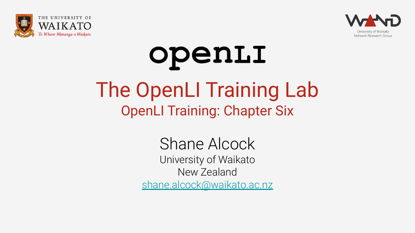



# openLI The OpenLI Training Lab OpenLI Training: Chapter Six

Shane Alcock University of Waikato New Zealand [shane.alcock@waikato.ac.nz](mailto:shane.alcock@waikato.ac.nz)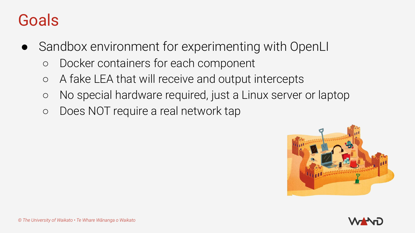- Sandbox environment for experimenting with OpenLI
	- Docker containers for each component
	- A fake LEA that will receive and output intercepts
	- No special hardware required, just a Linux server or laptop
	- Does NOT require a real network tap



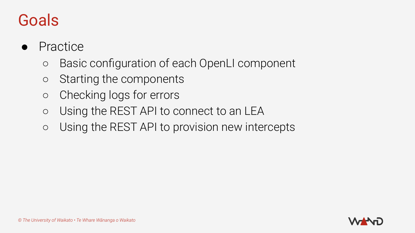- **Practice** 
	- Basic configuration of each OpenLI component
	- Starting the components
	- Checking logs for errors
	- Using the REST API to connect to an LEA
	- Using the REST API to provision new intercepts

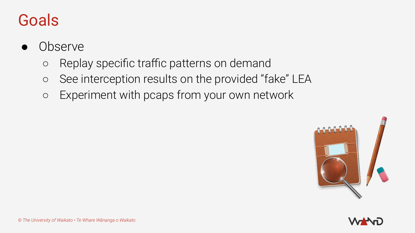- **Observe** 
	- Replay specific traffic patterns on demand
	- See interception results on the provided "fake" LEA
	- Experiment with pcaps from your own network



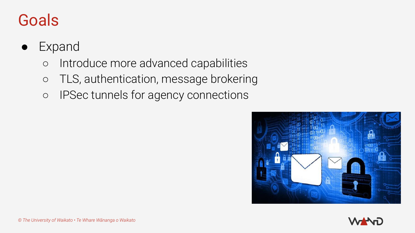#### ● Expand

- Introduce more advanced capabilities
- TLS, authentication, message brokering
- IPSec tunnels for agency connections



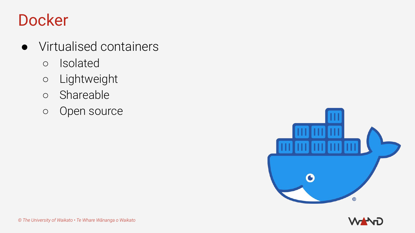## Docker

- Virtualised containers
	- Isolated
	- Lightweight
	- Shareable
	- Open source



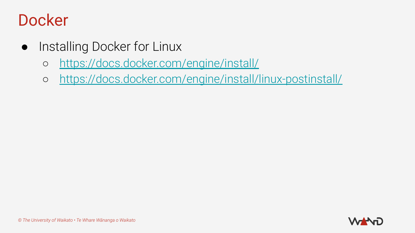### **Docker**

- Installing Docker for Linux
	- <https://docs.docker.com/engine/install/>
	- <https://docs.docker.com/engine/install/linux-postinstall/>

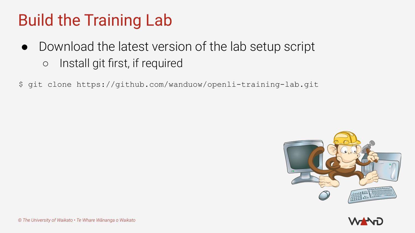# Build the Training Lab

- Download the latest version of the lab setup script ○ Install git first, if required
- \$ git clone https://github.com/wanduow/openli-training-lab.git



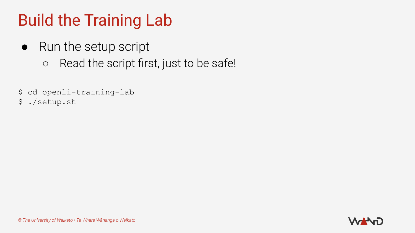# Build the Training Lab

- Run the setup script
	- Read the script first, just to be safe!
- \$ cd openli-training-lab
- \$ ./setup.sh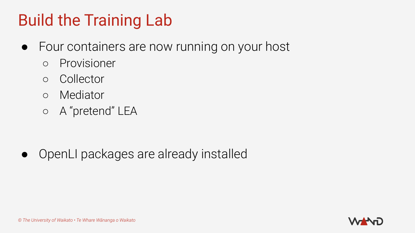# Build the Training Lab

- Four containers are now running on your host
	- Provisioner
	- Collector
	- Mediator
	- A "pretend" LEA

● OpenLI packages are already installed

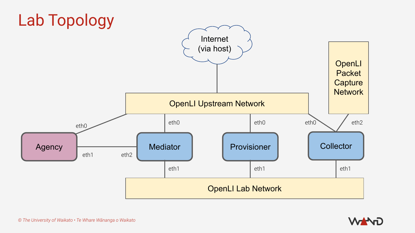

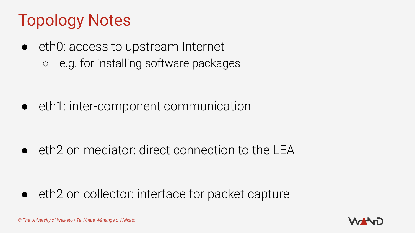# Topology Notes

eth0: access to upstream Internet ○ e.g. for installing software packages

● eth1: inter-component communication

 $\bullet$  eth2 on mediator: direct connection to the LEA

● eth2 on collector: interface for packet capture

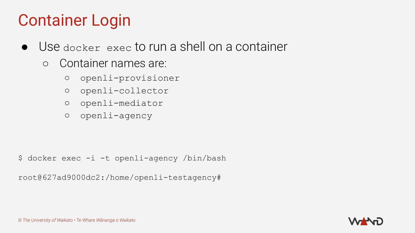# Container Login

- Use docker exec to run a shell on a container
	- Container names are:
		- openli-provisioner
		- openli-collector
		- openli-mediator
		- openli-agency

\$ docker exec -i -t openli-agency /bin/bash

root@627ad9000dc2:/home/openli-testagency#

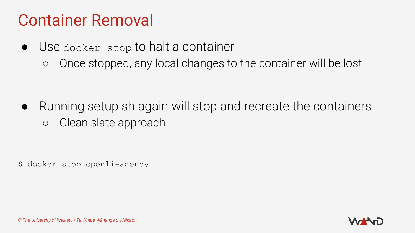#### Container Removal

- Use docker stop to halt a container
	- Once stopped, any local changes to the container will be lost

● Running setup.sh again will stop and recreate the containers ○ Clean slate approach

\$ docker stop openli-agency